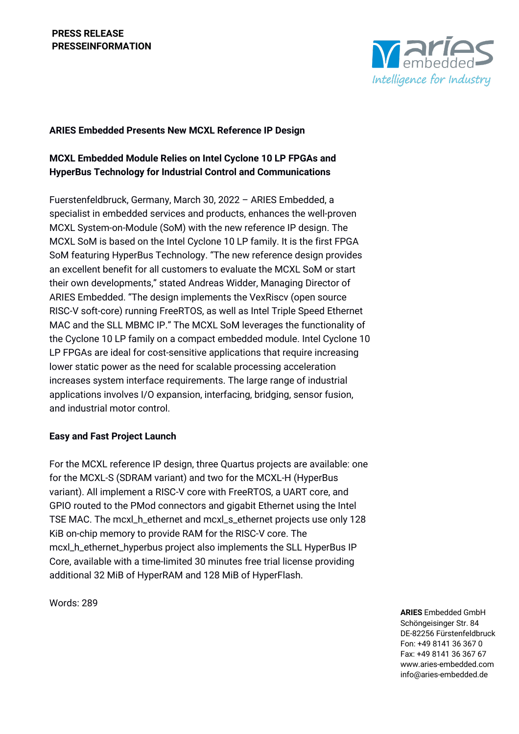

## **ARIES Embedded Presents New MCXL Reference IP Design**

# **MCXL Embedded Module Relies on Intel Cyclone 10 LP FPGAs and HyperBus Technology for Industrial Control and Communications**

Fuerstenfeldbruck, Germany, March 30, 2022 – ARIES Embedded, a specialist in embedded services and products, enhances the well-proven MCXL System-on-Module (SoM) with the new reference IP design. The MCXL SoM is based on the Intel Cyclone 10 LP family. It is the first FPGA SoM featuring HyperBus Technology. "The new reference design provides an excellent benefit for all customers to evaluate the MCXL SoM or start their own developments," stated Andreas Widder, Managing Director of ARIES Embedded. "The design implements the VexRiscv (open source RISC-V soft-core) running FreeRTOS, as well as Intel Triple Speed Ethernet MAC and the SLL MBMC IP." The MCXL SoM leverages the functionality of the Cyclone 10 LP family on a compact embedded module. Intel Cyclone 10 LP FPGAs are ideal for cost-sensitive applications that require increasing lower static power as the need for scalable processing acceleration increases system interface requirements. The large range of industrial applications involves I/O expansion, interfacing, bridging, sensor fusion, and industrial motor control.

## **Easy and Fast Project Launch**

For the MCXL reference IP design, three Quartus projects are available: one for the MCXL-S (SDRAM variant) and two for the MCXL-H (HyperBus variant). All implement a RISC-V core with FreeRTOS, a UART core, and GPIO routed to the PMod connectors and gigabit Ethernet using the Intel TSE MAC. The mcxl\_h\_ethernet and mcxl\_s\_ethernet projects use only 128 KiB on-chip memory to provide RAM for the RISC-V core. The mcxl\_h\_ethernet\_hyperbus project also implements the SLL HyperBus IP Core, available with a time-limited 30 minutes free trial license providing additional 32 MiB of HyperRAM and 128 MiB of HyperFlash.

Words: 289

**ARIES** Embedded GmbH Schöngeisinger Str. 84 DE-82256 Fürstenfeldbruck Fon: +49 8141 36 367 0 Fax: +49 8141 36 367 67 www.aries-embedded.com info@aries-embedded.de